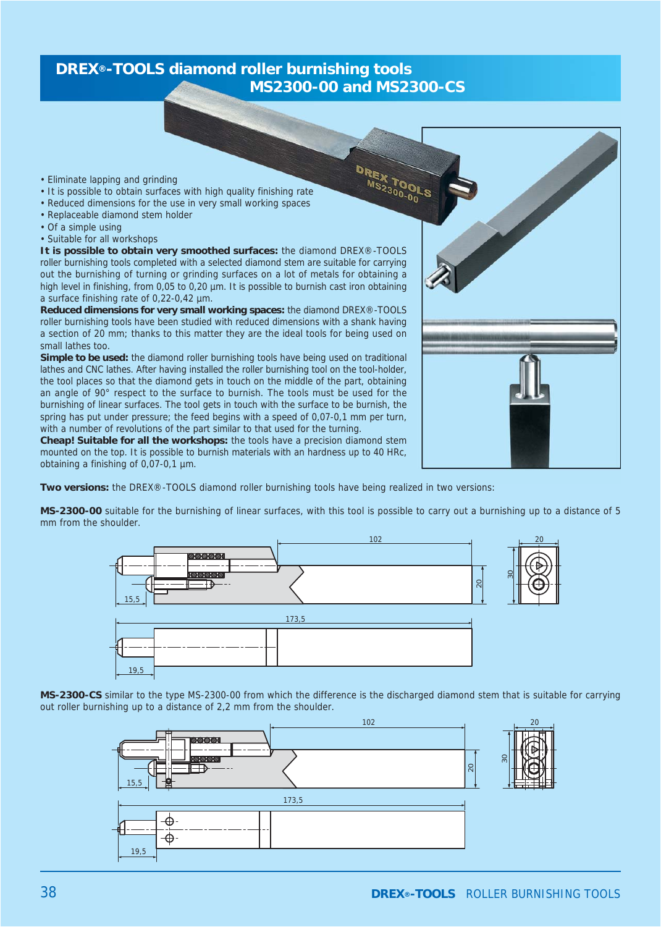## **DREX®-TOOLS diamond roller burnishing tools MS2300-00 and MS2300-CS**

- Eliminate lapping and grinding
- It is possible to obtain surfaces with high quality finishing rate
- Reduced dimensions for the use in very small working spaces
- Replaceable diamond stem holder
- Of a simple using
- Suitable for all workshops

**It is possible to obtain very smoothed surfaces:** the diamond DREX®-TOOLS roller burnishing tools completed with a selected diamond stem are suitable for carrying out the burnishing of turning or grinding surfaces on a lot of metals for obtaining a high level in finishing, from 0,05 to 0,20 µm. It is possible to burnish cast iron obtaining a surface finishing rate of 0,22-0,42 µm.

**Reduced dimensions for very small working spaces:** the diamond DREX®-TOOLS roller burnishing tools have been studied with reduced dimensions with a shank having a section of 20 mm; thanks to this matter they are the ideal tools for being used on small lathes too.

**Simple to be used:** the diamond roller burnishing tools have being used on traditional lathes and CNC lathes. After having installed the roller burnishing tool on the tool-holder, the tool places so that the diamond gets in touch on the middle of the part, obtaining an angle of 90° respect to the surface to burnish. The tools must be used for the burnishing of linear surfaces. The tool gets in touch with the surface to be burnish, the spring has put under pressure; the feed begins with a speed of 0,07-0,1 mm per turn, with a number of revolutions of the part similar to that used for the turning.

**Cheap! Suitable for all the workshops:** the tools have a precision diamond stem mounted on the top. It is possible to burnish materials with an hardness up to 40 HRc, obtaining a finishing of 0,07-0,1 µm.

**Two versions:** the DREX®-TOOLS diamond roller burnishing tools have being realized in two versions:

**MS-2300-00** suitable for the burnishing of linear surfaces, with this tool is possible to carry out a burnishing up to a distance of 5 mm from the shoulder.

DREX TOOLS



**MS-2300-CS** similar to the type MS-2300-00 from which the difference is the discharged diamond stem that is suitable for carrying out roller burnishing up to a distance of 2,2 mm from the shoulder.